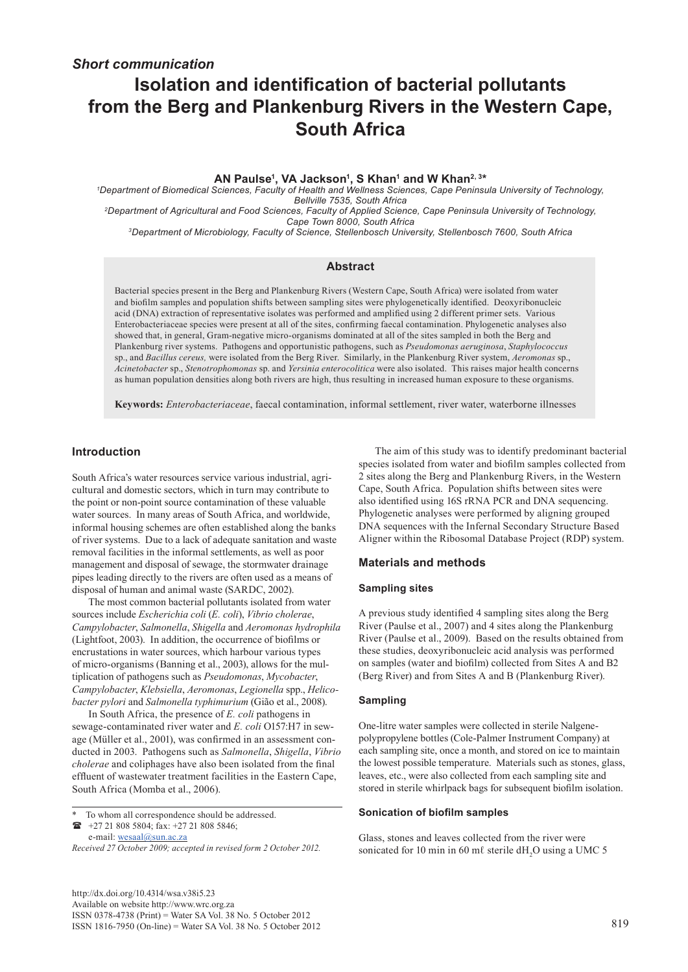# **Isolation and identification of bacterial pollutants from the Berg and Plankenburg Rivers in the Western Cape, South Africa**

**AN Paulse<sup>1</sup> , VA Jackson<sup>1</sup> , S Khan<sup>1</sup> and W Khan2, 3\***

*1 Department of Biomedical Sciences, Faculty of Health and Wellness Sciences, Cape Peninsula University of Technology, Bellville 7535, South Africa*

*2Department of Agricultural and Food Sciences, Faculty of Applied Science, Cape Peninsula University of Technology, Cape Town 8000, South Africa*

*3Department of Microbiology, Faculty of Science, Stellenbosch University, Stellenbosch 7600, South Africa*

## **Abstract**

Bacterial species present in the Berg and Plankenburg Rivers (Western Cape, South Africa) were isolated from water and biofilm samples and population shifts between sampling sites were phylogenetically identified. Deoxyribonucleic acid (DNA) extraction of representative isolates was performed and amplified using 2 different primer sets. Various Enterobacteriaceae species were present at all of the sites, confirming faecal contamination. Phylogenetic analyses also showed that, in general, Gram-negative micro-organisms dominated at all of the sites sampled in both the Berg and Plankenburg river systems. Pathogens and opportunistic pathogens, such as *Pseudomonas aeruginosa*, *Staphylococcus*  sp., and *Bacillus cereus,* were isolated from the Berg River. Similarly, in the Plankenburg River system, *Aeromonas* sp., *Acinetobacter* sp., *Stenotrophomonas* sp. and *Yersinia enterocolitica* were also isolated. This raises major health concerns as human population densities along both rivers are high, thus resulting in increased human exposure to these organisms.

**Keywords:** *Enterobacteriaceae*, faecal contamination, informal settlement, river water, waterborne illnesses

## **Introduction**

South Africa's water resources service various industrial, agricultural and domestic sectors, which in turn may contribute to the point or non-point source contamination of these valuable water sources. In many areas of South Africa, and worldwide, informal housing schemes are often established along the banks of river systems. Due to a lack of adequate sanitation and waste removal facilities in the informal settlements, as well as poor management and disposal of sewage, the stormwater drainage pipes leading directly to the rivers are often used as a means of disposal of human and animal waste (SARDC, 2002).

The most common bacterial pollutants isolated from water sources include *Escherichia coli* (*E. coli*), *Vibrio cholerae*, *Campylobacter*, *Salmonella*, *Shigella* and *Aeromonas hydrophila* (Lightfoot, 2003). In addition, the occurrence of biofilms or encrustations in water sources, which harbour various types of micro-organisms (Banning et al., 2003), allows for the multiplication of pathogens such as *Pseudomonas*, *Mycobacter*, *Campylobacter*, *Klebsiella*, *Aeromonas*, *Legionella* spp., *Helicobacter pylori* and *Salmonella typhimurium* (Gião et al., 2008).

In South Africa, the presence of *E. coli* pathogens in sewage-contaminated river water and *E. coli* O157:H7 in sewage (Müller et al., 2001), was confirmed in an assessment conducted in 2003. Pathogens such as *Salmonella*, *Shigella*, *Vibrio cholerae* and coliphages have also been isolated from the final effluent of wastewater treatment facilities in the Eastern Cape, South Africa (Momba et al., 2006).

 +27 21 808 5804; fax: +27 21 808 5846; e-mail: wesaal@sun.ac.za

[http://dx.doi.org/10.4314/wsa.v38i5.23](http://dx.doi.org/10.4314/wsa.v37i4.18) Available on website http://www.wrc.org.za ISSN 0378-4738 (Print) = Water SA Vol. 38 No. 5 October 2012 ISSN 1816-7950 (On-line) = Water SA Vol. 38 No. 5 October 2012 819

The aim of this study was to identify predominant bacterial species isolated from water and biofilm samples collected from 2 sites along the Berg and Plankenburg Rivers, in the Western Cape, South Africa. Population shifts between sites were also identified using 16S rRNA PCR and DNA sequencing. Phylogenetic analyses were performed by aligning grouped DNA sequences with the Infernal Secondary Structure Based Aligner within the Ribosomal Database Project (RDP) system.

## **Materials and methods**

#### **Sampling sites**

A previous study identified 4 sampling sites along the Berg River (Paulse et al., 2007) and 4 sites along the Plankenburg River (Paulse et al., 2009). Based on the results obtained from these studies, deoxyribonucleic acid analysis was performed on samples (water and biofilm) collected from Sites A and B2 (Berg River) and from Sites A and B (Plankenburg River).

#### **Sampling**

One-litre water samples were collected in sterile Nalgenepolypropylene bottles (Cole-Palmer Instrument Company) at each sampling site, once a month, and stored on ice to maintain the lowest possible temperature. Materials such as stones, glass, leaves, etc., were also collected from each sampling site and stored in sterile whirlpack bags for subsequent biofilm isolation.

#### **Sonication of biofilm samples**

Glass, stones and leaves collected from the river were sonicated for 10 min in 60 m $\ell$  sterile dH<sub>2</sub>O using a UMC 5

To whom all correspondence should be addressed.

*Received 27 October 2009; accepted in revised form 2 October 2012.*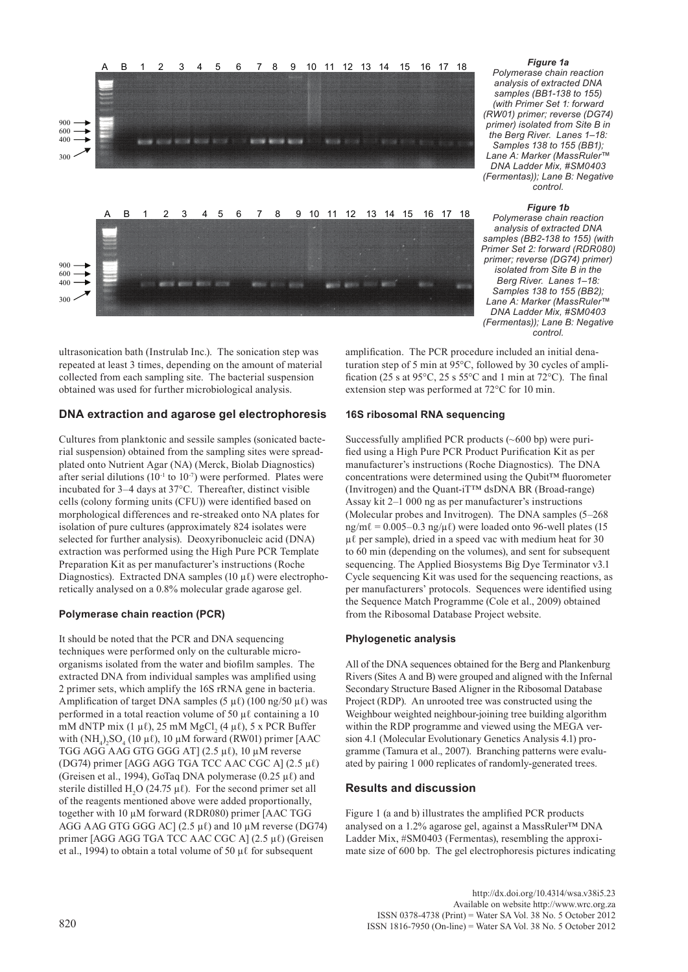

ultrasonication bath (Instrulab Inc.). The sonication step was repeated at least 3 times, depending on the amount of material collected from each sampling site. The bacterial suspension obtained was used for further microbiological analysis.

## **DNA extraction and agarose gel electrophoresis**

Cultures from planktonic and sessile samples (sonicated bacterial suspension) obtained from the sampling sites were spreadplated onto Nutrient Agar (NA) (Merck, Biolab Diagnostics) after serial dilutions  $(10^{-1} \text{ to } 10^{-7})$  were performed. Plates were incubated for 3–4 days at 37°C. Thereafter, distinct visible cells (colony forming units (CFU)) were identified based on morphological differences and re-streaked onto NA plates for isolation of pure cultures (approximately 824 isolates were selected for further analysis). Deoxyribonucleic acid (DNA) extraction was performed using the High Pure PCR Template Preparation Kit as per manufacturer's instructions (Roche Diagnostics). Extracted DNA samples (10 µℓ) were electrophoretically analysed on a 0.8% molecular grade agarose gel.

## **Polymerase chain reaction (PCR)**

It should be noted that the PCR and DNA sequencing techniques were performed only on the culturable microorganisms isolated from the water and biofilm samples. The extracted DNA from individual samples was amplified using 2 primer sets, which amplify the 16S rRNA gene in bacteria. Amplification of target DNA samples (5  $\mu$ l) (100 ng/50  $\mu$ l) was performed in a total reaction volume of 50  $\mu\ell$  containing a 10 mM dNTP mix (1  $\mu$ l), 25 mM MgCl<sub>2</sub> (4  $\mu$ l), 5 x PCR Buffer with  $(NH_4)_2SO_4$  (10  $\mu$ *l*), 10  $\mu$ M forward (RW01) primer [AAC TGG AGG AAG GTG GGG AT] (2.5 µℓ), 10 µM reverse (DG74) primer [AGG AGG TGA TCC AAC CGC A] (2.5 µℓ) (Greisen et al., 1994), GoTaq DNA polymerase (0.25  $\mu\ell$ ) and sterile distilled  $H_2O$  (24.75  $\mu\ell$ ). For the second primer set all of the reagents mentioned above were added proportionally, together with 10 µM forward (RDR080) primer [AAC TGG AGG AAG GTG GGG AC $(2.5 \mu \ell)$  and 10  $\mu$ M reverse (DG74) primer [AGG AGG TGA TCC AAC CGC A] (2.5 µℓ) (Greisen et al., 1994) to obtain a total volume of 50  $\mu\ell$  for subsequent

*Figure 1a Polymerase chain reaction analysis of extracted DNA samples (BB1-138 to 155) (with Primer Set 1: forward (RW01) primer; reverse (DG74) primer) isolated from Site B in the Berg River. Lanes 1–18: Samples 138 to 155 (BB1); Lane A: Marker (MassRuler™ DNA Ladder Mix, #SM0403 (Fermentas)); Lane B: Negative control.*

*Figure 1b* 

*Polymerase chain reaction analysis of extracted DNA samples (BB2-138 to 155) (with Primer Set 2: forward (RDR080) primer; reverse (DG74) primer) isolated from Site B in the Berg River. Lanes 1–18: Samples 138 to 155 (BB2); Lane A: Marker (MassRuler™ DNA Ladder Mix, #SM0403 (Fermentas)); Lane B: Negative control.*

amplification. The PCR procedure included an initial denaturation step of 5 min at 95°C, followed by 30 cycles of amplification (25 s at 95°C, 25 s 55°C and 1 min at 72°C). The final extension step was performed at 72°C for 10 min.

## **16S ribosomal RNA sequencing**

Successfully amplified PCR products (~600 bp) were purified using a High Pure PCR Product Purification Kit as per manufacturer's instructions (Roche Diagnostics). The DNA concentrations were determined using the Qubit™ fluorometer (Invitrogen) and the Quant-iT™ dsDNA BR (Broad-range) Assay kit 2–1 000 ng as per manufacturer's instructions (Molecular probes and Invitrogen).The DNA samples (5–268  $ng/m\ell = 0.005-0.3$  ng/ $\mu\ell$ ) were loaded onto 96-well plates (15  $\mu\ell$  per sample), dried in a speed vac with medium heat for 30 to 60 min (depending on the volumes), and sent for subsequent sequencing. The Applied Biosystems Big Dye Terminator v3.1 Cycle sequencing Kit was used for the sequencing reactions, as per manufacturers' protocols. Sequences were identified using the Sequence Match Programme (Cole et al., 2009) obtained from the Ribosomal Database Project website.

#### **Phylogenetic analysis**

All of the DNA sequences obtained for the Berg and Plankenburg Rivers (Sites A and B) were grouped and aligned with the Infernal Secondary Structure Based Aligner in the Ribosomal Database Project (RDP). An unrooted tree was constructed using the Weighbour weighted neighbour-joining tree building algorithm within the RDP programme and viewed using the MEGA version 4.1 (Molecular Evolutionary Genetics Analysis 4.1) programme (Tamura et al., 2007). Branching patterns were evaluated by pairing 1 000 replicates of randomly-generated trees.

# **Results and discussion**

Figure 1 (a and b) illustrates the amplified PCR products analysed on a 1.2% agarose gel, against a MassRuler™ DNA Ladder Mix, #SM0403 (Fermentas), resembling the approximate size of 600 bp. The gel electrophoresis pictures indicating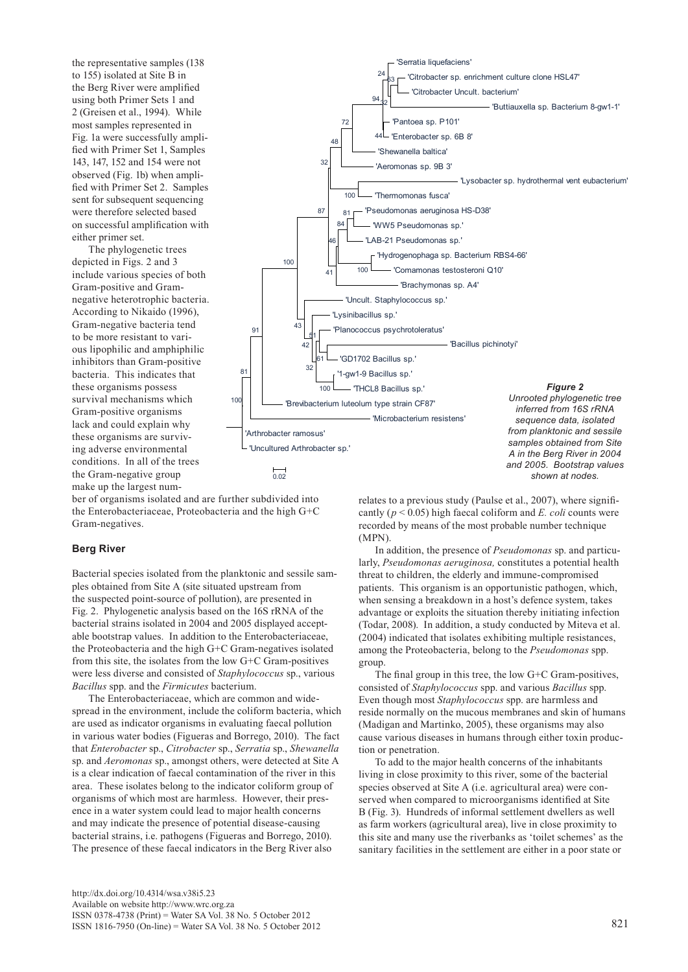the representative samples (138 to 155) isolated at Site B in the Berg River were amplified using both Primer Sets 1 and 2 (Greisen et al., 1994). While most samples represented in Fig. 1a were successfully amplified with Primer Set 1, Samples 143, 147, 152 and 154 were not observed (Fig. 1b) when amplified with Primer Set 2. Samples sent for subsequent sequencing were therefore selected based on successful amplification with either primer set.

The phylogenetic trees depicted in Figs. 2 and 3 include various species of both Gram-positive and Gramnegative heterotrophic bacteria. According to Nikaido (1996), Gram-negative bacteria tend to be more resistant to various lipophilic and amphiphilic inhibitors than Gram-positive bacteria. This indicates that these organisms possess survival mechanisms which Gram-positive organisms lack and could explain why these organisms are surviving adverse environmental conditions. In all of the trees the Gram-negative group make up the largest num-



ber of organisms isolated and are further subdivided into the Enterobacteriaceae, Proteobacteria and the high G+C Gram-negatives.

## **Berg River**

Bacterial species isolated from the planktonic and sessile samples obtained from Site A (site situated upstream from the suspected point-source of pollution), are presented in Fig. 2. Phylogenetic analysis based on the 16S rRNA of the bacterial strains isolated in 2004 and 2005 displayed acceptable bootstrap values. In addition to the Enterobacteriaceae, the Proteobacteria and the high G+C Gram-negatives isolated from this site, the isolates from the low G+C Gram-positives were less diverse and consisted of *Staphylococcus* sp., various *Bacillus* spp. and the *Firmicutes* bacterium.

The Enterobacteriaceae, which are common and widespread in the environment, include the coliform bacteria, which are used as indicator organisms in evaluating faecal pollution in various water bodies (Figueras and Borrego, 2010). The fact that *Enterobacter* sp., *Citrobacter* sp., *Serratia* sp., *Shewanella* sp. and *Aeromonas* sp., amongst others, were detected at Site A is a clear indication of faecal contamination of the river in this area. These isolates belong to the indicator coliform group of organisms of which most are harmless. However, their presence in a water system could lead to major health concerns and may indicate the presence of potential disease-causing bacterial strains, i.e. pathogens (Figueras and Borrego, 2010). The presence of these faecal indicators in the Berg River also

[http://dx.doi.org/10.4314/wsa.v38i5.23](http://dx.doi.org/10.4314/wsa.v37i4.18) Available on website http://www.wrc.org.za ISSN 0378-4738 (Print) = Water SA Vol. 38 No. 5 October 2012 ISSN 1816-7950 (On-line) = Water SA Vol. 38 No. 5 October 2012 821

relates to a previous study (Paulse et al., 2007), where significantly (*p* < 0.05) high faecal coliform and *E. coli* counts were recorded by means of the most probable number technique (MPN).

In addition, the presence of *Pseudomonas* sp. and particularly, *Pseudomonas aeruginosa,* constitutes a potential health threat to children, the elderly and immune-compromised patients. This organism is an opportunistic pathogen, which, when sensing a breakdown in a host's defence system, takes advantage or exploits the situation thereby initiating infection (Todar, 2008). In addition, a study conducted by Miteva et al. (2004) indicated that isolates exhibiting multiple resistances, among the Proteobacteria, belong to the *Pseudomonas* spp. group.

The final group in this tree, the low G+C Gram-positives, consisted of *Staphylococcus* spp. and various *Bacillus* spp. Even though most *Staphylococcus* spp. are harmless and reside normally on the mucous membranes and skin of humans (Madigan and Martinko, 2005), these organisms may also cause various diseases in humans through either toxin production or penetration.

To add to the major health concerns of the inhabitants living in close proximity to this river, some of the bacterial species observed at Site A (i.e. agricultural area) were conserved when compared to microorganisms identified at Site B (Fig. 3). Hundreds of informal settlement dwellers as well as farm workers (agricultural area), live in close proximity to this site and many use the riverbanks as 'toilet schemes' as the sanitary facilities in the settlement are either in a poor state or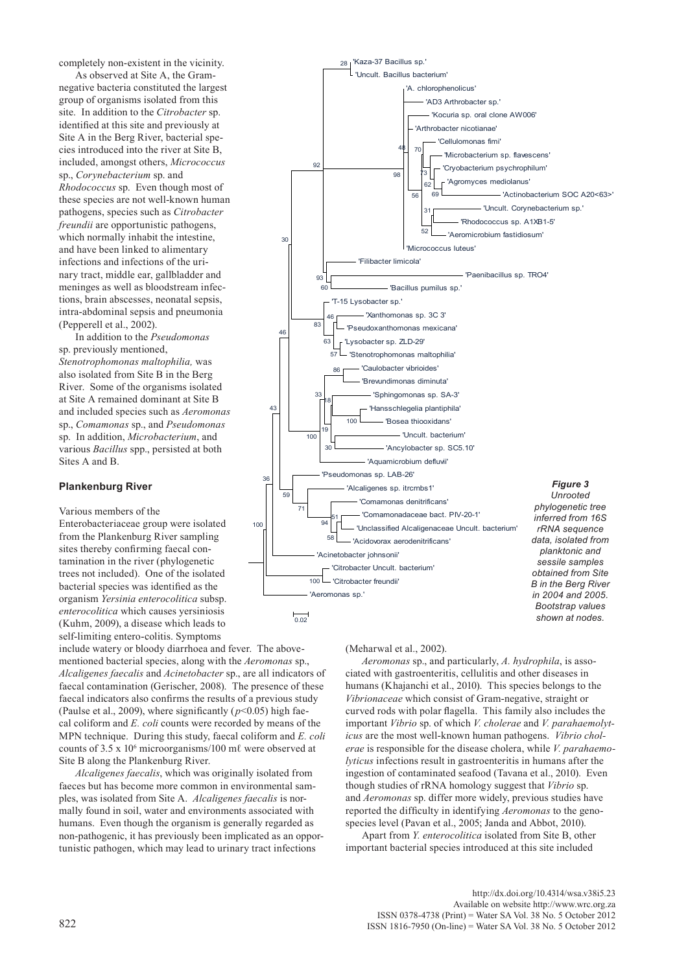completely non-existent in the vicinity.

As observed at Site A, the Gramnegative bacteria constituted the largest group of organisms isolated from this site. In addition to the *Citrobacter* sp. identified at this site and previously at Site A in the Berg River, bacterial species introduced into the river at Site B, included, amongst others, *Micrococcus* sp., *Corynebacterium* sp. and *Rhodococcus* sp. Even though most of these species are not well-known human pathogens, species such as *Citrobacter freundii* are opportunistic pathogens, which normally inhabit the intestine, and have been linked to alimentary infections and infections of the urinary tract, middle ear, gallbladder and meninges as well as bloodstream infections, brain abscesses, neonatal sepsis, intra-abdominal sepsis and pneumonia (Pepperell et al., 2002).

In addition to the *Pseudomonas* sp. previously mentioned, *Stenotrophomonas maltophilia,* was also isolated from Site B in the Berg River. Some of the organisms isolated at Site A remained dominant at Site B and included species such as *Aeromonas* sp., *Comamonas* sp., and *Pseudomonas* sp. In addition, *Microbacterium*, and various *Bacillus* spp., persisted at both Sites A and B.

## **Plankenburg River**

Various members of the Enterobacteriaceae group were isolated from the Plankenburg River sampling sites thereby confirming faecal contamination in the river (phylogenetic trees not included). One of the isolated bacterial species was identified as the organism *Yersinia enterocolitica* subsp. *enterocolitica* which causes yersiniosis (Kuhm, 2009), a disease which leads to self-limiting entero-colitis. Symptoms

include watery or bloody diarrhoea and fever. The abovementioned bacterial species, along with the *Aeromonas* sp., *Alcaligenes faecalis* and *Acinetobacter* sp., are all indicators of faecal contamination (Gerischer, 2008). The presence of these faecal indicators also confirms the results of a previous study (Paulse et al., 2009), where significantly (*p*<0.05) high faecal coliform and *E. coli* counts were recorded by means of the MPN technique. During this study, faecal coliform and *E. coli* counts of 3.5 x  $10<sup>6</sup>$  microorganisms/100 m $\ell$  were observed at Site B along the Plankenburg River.

*Alcaligenes faecalis*, which was originally isolated from faeces but has become more common in environmental samples, was isolated from Site A. *Alcaligenes faecalis* is normally found in soil, water and environments associated with humans. Even though the organism is generally regarded as non-pathogenic, it has previously been implicated as an opportunistic pathogen, which may lead to urinary tract infections



(Meharwal et al., 2002).

*Aeromonas* sp., and particularly, *A. hydrophila*, is associated with gastroenteritis, cellulitis and other diseases in humans (Khajanchi et al., 2010). This species belongs to the *Vibrionaceae* which consist of Gram-negative, straight or curved rods with polar flagella. This family also includes the important *Vibrio* sp. of which *V. cholerae* and *V. parahaemolyticus* are the most well-known human pathogens. *Vibrio cholerae* is responsible for the disease cholera, while *V. parahaemolyticus* infections result in gastroenteritis in humans after the ingestion of contaminated seafood (Tavana et al., 2010). Even though studies of rRNA homology suggest that *Vibrio* sp. and *Aeromonas* sp. differ more widely, previous studies have reported the difficulty in identifying *Aeromonas* to the genospecies level (Pavan et al., 2005; Janda and Abbot, 2010).

Apart from *Y. enterocolitica* isolated from Site B, other important bacterial species introduced at this site included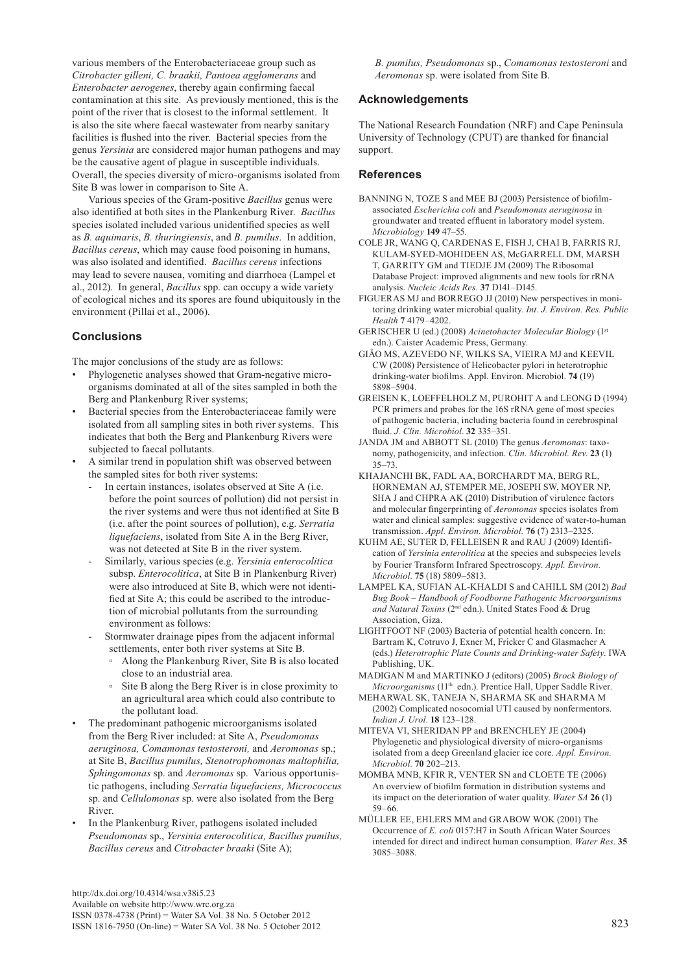various members of the Enterobacteriaceae group such as *Citrobacter gilleni, C. braakii, Pantoea agglomerans* and *Enterobacter aerogenes*, thereby again confirming faecal contamination at this site. As previously mentioned, this is the point of the river that is closest to the informal settlement. It is also the site where faecal wastewater from nearby sanitary facilities is flushed into the river. Bacterial species from the genus *Yersinia* are considered major human pathogens and may be the causative agent of plague in susceptible individuals. Overall, the species diversity of micro-organisms isolated from Site B was lower in comparison to Site A.

Various species of the Gram-positive *Bacillus* genus were also identified at both sites in the Plankenburg River. *Bacillus* species isolated included various unidentified species as well as *B. aquimaris*, *B. thuringiensis*, and *B. pumilus*. In addition, *Bacillus cereus*, which may cause food poisoning in humans, was also isolated and identified. *Bacillus cereus* infections may lead to severe nausea, vomiting and diarrhoea (Lampel et al., 2012). In general, *Bacillus* spp. can occupy a wide variety of ecological niches and its spores are found ubiquitously in the environment (Pillai et al., 2006).

# **Conclusions**

The major conclusions of the study are as follows:

- Phylogenetic analyses showed that Gram-negative microorganisms dominated at all of the sites sampled in both the Berg and Plankenburg River systems;
- Bacterial species from the Enterobacteriaceae family were isolated from all sampling sites in both river systems. This indicates that both the Berg and Plankenburg Rivers were subjected to faecal pollutants.
- A similar trend in population shift was observed between the sampled sites for both river systems:
	- In certain instances, isolates observed at Site A (i.e. before the point sources of pollution) did not persist in the river systems and were thus not identified at Site B (i.e. after the point sources of pollution), e.g. *Serratia liquefaciens*, isolated from Site A in the Berg River, was not detected at Site B in the river system.
	- Similarly, various species (e.g. *Yersinia enterocolitica* subsp. *Enterocolitica*, at Site B in Plankenburg River) were also introduced at Site B, which were not identified at Site A; this could be ascribed to the introduction of microbial pollutants from the surrounding environment as follows:
	- Stormwater drainage pipes from the adjacent informal settlements, enter both river systems at Site B.
		- Along the Plankenburg River, Site B is also located close to an industrial area.
		- Site B along the Berg River is in close proximity to an agricultural area which could also contribute to the pollutant load.
- The predominant pathogenic microorganisms isolated from the Berg River included: at Site A, *Pseudomonas aeruginosa, Comamonas testosteroni,* and *Aeromonas* sp.; at Site B, *Bacillus pumilus, Stenotrophomonas maltophilia, Sphingomonas* sp. and *Aeromonas* sp. Various opportunistic pathogens, including *Serratia liquefaciens, Micrococcus*  sp. and *Cellulomonas* sp. were also isolated from the Berg River.
- In the Plankenburg River, pathogens isolated included *Pseudomonas* sp., *Yersinia enterocolitica, Bacillus pumilus, Bacillus cereus* and *Citrobacter braaki* (Site A);

*B. pumilus, Pseudomonas* sp., *Comamonas testosteroni* and *Aeromonas* sp. were isolated from Site B.

## **Acknowledgements**

The National Research Foundation (NRF) and Cape Peninsula University of Technology (CPUT) are thanked for financial support.

# **References**

BANNING N, TOZE S and MEE BJ (2003) Persistence of biofilmassociated *Escherichia coli* and *Pseudomonas aeruginosa* in groundwater and treated effluent in laboratory model system. *Microbiology* **149** 47–55.

- COLE JR, WANG Q, CARDENAS E, FISH J, CHAI B, FARRIS RJ, KULAM-SYED-MOHIDEEN AS, McGARRELL DM, MARSH T, GARRITY GM and TIEDJE JM (2009) The Ribosomal Database Project: improved alignments and new tools for rRNA analysis. *Nucleic Acids Res.* **37** D141–D145.
- FIGUERAS MJ and BORREGO JJ (2010) New perspectives in monitoring drinking water microbial quality. *Int. J. Environ. Res. Public Health* **7** 4179–4202.
- GERISCHER U (ed.) (2008) *Acinetobacter Molecular Biology* (1st edn.). Caister Academic Press, Germany.
- GIÃO MS, AZEVEDO NF, WILKS SA, VIEIRA MJ and KEEVIL CW (2008) Persistence of Helicobacter pylori in heterotrophic drinking-water biofilms. Appl. Environ. Microbiol. **74** (19) 5898–5904.
- GREISEN K, LOEFFELHOLZ M, PUROHIT A and LEONG D (1994) PCR primers and probes for the 16S rRNA gene of most species of pathogenic bacteria, including bacteria found in cerebrospinal fluid. *J. Clin. Microbiol*. **32** 335–351.
- JANDA JM and ABBOTT SL (2010) The genus *Aeromonas*: taxonomy, pathogenicity, and infection. *Clin. Microbiol. Rev*. **23** (1) 35–73.
- KHAJANCHI BK, FADL AA, BORCHARDT MA, BERG RL, HORNEMAN AJ, STEMPER ME, JOSEPH SW, MOYER NP, SHA J and CHPRA AK (2010) Distribution of virulence factors and molecular fingerprinting of *Aeromonas* species isolates from water and clinical samples: suggestive evidence of water-to-human transmission. *Appl. Environ. Microbiol.* **76** (7) 2313–2325.
- KUHM AE, SUTER D, FELLEISEN R and RAU J (2009) Identification of *Yersinia enterolitica* at the species and subspecies levels by Fourier Transform Infrared Spectroscopy. *Appl. Environ. Microbiol*. **75** (18) 5809–5813.
- LAMPEL KA, SUFIAN AL-KHALDI S and CAHILL SM (2012) *Bad Bug Book – Handbook of Foodborne Pathogenic Microorganisms and Natural Toxins* (2nd edn.). United States Food & Drug Association, Giza.
- LIGHTFOOT NF (2003) Bacteria of potential health concern. In: Bartram K, Cotruvo J, Exner M, Fricker C and Glasmacher A (eds.) *Heterotrophic Plate Counts and Drinking-water Safety*. IWA Publishing, UK.
- MADIGAN M and MARTINKO J (editors) (2005) *Brock Biology of Microorganisms* (11<sup>th</sup> edn.). Prentice Hall, Upper Saddle River.
- MEHARWAL SK, TANEJA N, SHARMA SK and SHARMA M (2002) Complicated nosocomial UTI caused by nonfermentors. *Indian J. Urol*. **18** 123–128.
- MITEVA VI, SHERIDAN PP and BRENCHLEY JE (2004) Phylogenetic and physiological diversity of micro-organisms isolated from a deep Greenland glacier ice core. *Appl. Environ. Microbiol*. **70** 202–213.
- MOMBA MNB, KFIR R, VENTER SN and CLOETE TE (2006) An overview of biofilm formation in distribution systems and its impact on the deterioration of water quality. *Water SA* **26** (1) 59–66.
- MÜLLER EE, EHLERS MM and GRABOW WOK (2001) The Occurrence of *E. coli* 0157:H7 in South African Water Sources intended for direct and indirect human consumption. *Water Res*. **35** 3085–3088.

[http://dx.doi.org/10.4314/wsa.v38i5.23](http://dx.doi.org/10.4314/wsa.v37i4.18) Available on website http://www.wrc.org.za ISSN 0378-4738 (Print) = Water SA Vol. 38 No. 5 October 2012 ISSN 1816-7950 (On-line) = Water SA Vol. 38 No. 5 October 2012 823